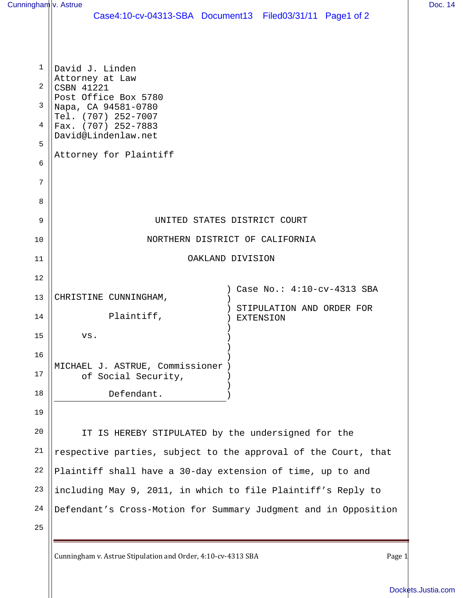| Cunningham <sup>I</sup> v. Astrue |                                                                 | Doc. 14 |
|-----------------------------------|-----------------------------------------------------------------|---------|
|                                   | Case4:10-cv-04313-SBA Document13 Filed03/31/11 Page1 of 2       |         |
|                                   |                                                                 |         |
| 1                                 | David J. Linden                                                 |         |
| 2                                 | Attorney at Law<br>CSBN 41221                                   |         |
| 3                                 | Post Office Box 5780<br>Napa, CA 94581-0780                     |         |
| 4                                 | Tel. (707) 252-7007<br>Fax. (707) 252-7883                      |         |
| 5                                 | David@Lindenlaw.net                                             |         |
| 6                                 | Attorney for Plaintiff                                          |         |
|                                   |                                                                 |         |
| 7                                 |                                                                 |         |
| 8                                 |                                                                 |         |
| 9                                 | UNITED STATES DISTRICT COURT                                    |         |
| 10                                | NORTHERN DISTRICT OF CALIFORNIA                                 |         |
| 11                                | OAKLAND DIVISION                                                |         |
| 12                                |                                                                 |         |
| 13                                | ) Case No.: 4:10-cv-4313 SBA<br>CHRISTINE CUNNINGHAM,           |         |
| 14                                | STIPULATION AND ORDER FOR<br>Plaintiff,<br><b>EXTENSION</b>     |         |
| 15                                | VS.                                                             |         |
| 16                                |                                                                 |         |
| 17                                | MICHAEL J. ASTRUE, Commissioner )<br>of Social Security,        |         |
| 18                                | Defendant.                                                      |         |
| 19                                |                                                                 |         |
| 20                                | IT IS HEREBY STIPULATED by the undersigned for the              |         |
| 21                                | respective parties, subject to the approval of the Court, that  |         |
| 22                                | Plaintiff shall have a 30-day extension of time, up to and      |         |
| 23                                | including May 9, 2011, in which to file Plaintiff's Reply to    |         |
| 24                                | Defendant's Cross-Motion for Summary Judgment and in Opposition |         |
| 25                                |                                                                 |         |
|                                   |                                                                 |         |

Cunningham v. Astrue Stipulation and Order, 4:10-cv-4313 SBA Page 1